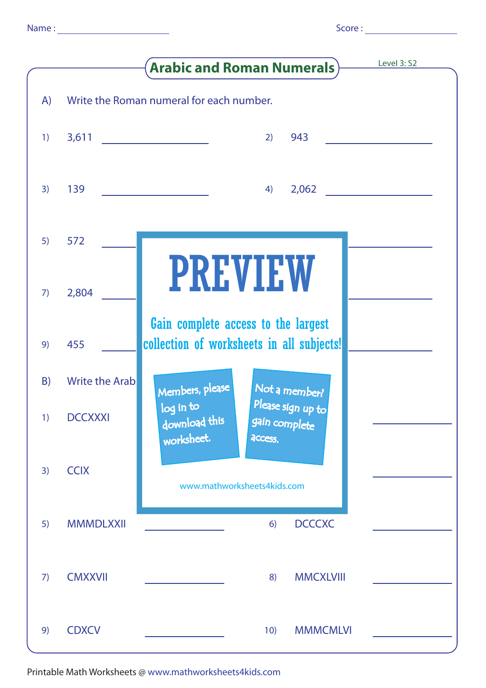|  | i |  |
|--|---|--|

|    |                       | Level 3: S2<br><b>Arabic and Roman Numerals</b> )                                                       |
|----|-----------------------|---------------------------------------------------------------------------------------------------------|
| A) |                       | Write the Roman numeral for each number.                                                                |
| 1) |                       | 943<br>2)                                                                                               |
| 3) | 139                   | 2,062<br>4)                                                                                             |
| 5) | 572                   |                                                                                                         |
| 7) | 2,804                 | PREVIEW                                                                                                 |
| 9) | 455                   | Gain complete access to the largest<br>collection of worksheets in all subjects!                        |
| B) | <b>Write the Arab</b> | Members, please<br>Not a member?                                                                        |
| 1) | <b>DCCXXXI</b>        | Please sign up to<br>$\overline{\log}$ in to<br>download this<br>gain complete<br>worksheet.<br>access. |
| 3) | <b>CCIX</b>           | www.mathworksheets4kids.com                                                                             |
| 5) | <b>MMMDLXXII</b>      | <b>DCCCXC</b><br>6)                                                                                     |
| 7) | <b>CMXXVII</b>        | <b>MMCXLVIII</b><br>8)                                                                                  |
| 9) | <b>CDXCV</b>          | <b>MMMCMLVI</b><br>10)                                                                                  |

Printable Math Worksheets @ www.mathworksheets4kids.com